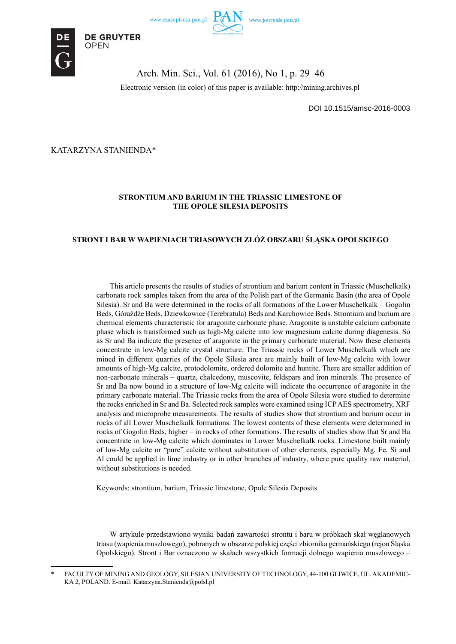



#### Arch. Min. Sci., Vol. 61 (2016), No 1, p. 29–46

Electronic version (in color) of this paper is available: http://mining.archives.pl

DOI 10.1515/amsc-2016-0003

KATARZYNA STANIENDA\*

**DE GRUYTER** 

**OPEN** 

#### **STRONTIUM AND BARIUM IN THE TRIASSIC LIMESTONE OF THE OPOLE SILESIA DEPOSITS**

#### **STRONT I BAR W WAPIENIACH TRIASOWYCH ZŁÓŻ OBSZARU ŚLĄSKA OPOLSKIEGO**

This article presents the results of studies of strontium and barium content in Triassic (Muschelkalk) carbonate rock samples taken from the area of the Polish part of the Germanic Basin (the area of Opole Silesia). Sr and Ba were determined in the rocks of all formations of the Lower Muschelkalk – Gogolin Beds, Górażdże Beds, Dziewkowice (Terebratula) Beds and Karchowice Beds. Strontium and barium are chemical elements characteristic for aragonite carbonate phase. Aragonite is unstable calcium carbonate phase which is transformed such as high-Mg calcite into low magnesium calcite during diagenesis. So as Sr and Ba indicate the presence of aragonite in the primary carbonate material. Now these elements concentrate in low-Mg calcite crystal structure. The Triassic rocks of Lower Muschelkalk which are mined in different quarries of the Opole Silesia area are mainly built of low-Mg calcite with lower amounts of high-Mg calcite, protodolomite, ordered dolomite and huntite. There are smaller addition of non-carbonate minerals – quartz, chalcedony, muscovite, feldspars and iron minerals. The presence of Sr and Ba now bound in a structure of low-Mg calcite will indicate the occurrence of aragonite in the primary carbonate material. The Triassic rocks from the area of Opole Silesia were studied to determine the rocks enriched in Sr and Ba. Selected rock samples were examined using ICP AES spectrometry, XRF analysis and microprobe measurements. The results of studies show that strontium and barium occur in rocks of all Lower Muschelkalk formations. The lowest contents of these elements were determined in rocks of Gogolin Beds, higher – in rocks of other formations. The results of studies show that Sr and Ba concentrate in low-Mg calcite which dominates in Lower Muschelkalk rocks. Limestone built mainly of low-Mg calcite or "pure" calcite without substitution of other elements, especially Mg, Fe, Si and Al could be applied in lime industry or in other branches of industry, where pure quality raw material, without substitutions is needed.

Keywords: strontium, barium, Triassic limestone, Opole Silesia Deposits

W artykule przedstawiono wyniki badań zawartości strontu i baru w próbkach skał węglanowych triasu (wapienia muszlowego), pobranych w obszarze polskiej części zbiornika germańskiego (rejon Śląska Opolskiego). Stront i Bar oznaczono w skałach wszystkich formacji dolnego wapienia muszlowego –

<sup>\*</sup> FACULTY OF MINING AND GEOLOGY, SILESIAN UNIVERSITY OF TECHNOLOGY, 44-100 GLIWICE, UL. AKADEMIC-KA 2, POLAND. E-mail: Katarzyna.Stanienda@polsl.pl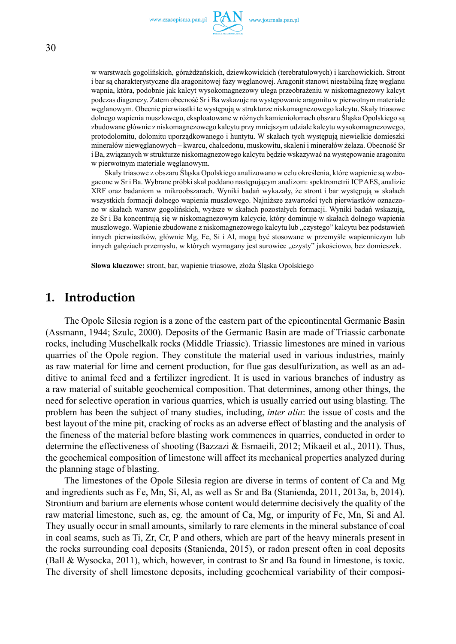

w warstwach gogolińskich, górażdżańskich, dziewkowickich (terebratulowych) i karchowickich. Stront i bar są charakterystyczne dla aragonitowej fazy węglanowej. Aragonit stanowi niestabilną fazę węglanu wapnia, która, podobnie jak kalcyt wysokomagnezowy ulega przeobrażeniu w niskomagnezowy kalcyt podczas diagenezy. Zatem obecność Sr i Ba wskazuje na występowanie aragonitu w pierwotnym materiale węglanowym. Obecnie pierwiastki te występują w strukturze niskomagnezowego kalcytu. Skały triasowe dolnego wapienia muszlowego, eksploatowane w różnych kamieniołomach obszaru Śląska Opolskiego są zbudowane głównie z niskomagnezowego kalcytu przy mniejszym udziale kalcytu wysokomagnezowego, protodolomitu, dolomitu uporządkowanego i huntytu. W skałach tych występują niewielkie domieszki minerałów niewęglanowych – kwarcu, chalcedonu, muskowitu, skaleni i minerałów żelaza. Obecność Sr i Ba, związanych w strukturze niskomagnezowego kalcytu będzie wskazywać na występowanie aragonitu w pierwotnym materiale węglanowym.

Skały triasowe z obszaru Śląska Opolskiego analizowano w celu określenia, które wapienie są wzbogacone w Sr i Ba. Wybrane próbki skał poddano następującym analizom: spektrometrii ICP AES, analizie XRF oraz badaniom w mikroobszarach. Wyniki badań wykazały, że stront i bar występują w skałach wszystkich formacji dolnego wapienia muszlowego. Najniższe zawartości tych pierwiastków oznaczono w skałach warstw gogolińskich, wyższe w skałach pozostałych formacji. Wyniki badań wskazują, że Sr i Ba koncentrują się w niskomagnezowym kalcycie, który dominuje w skałach dolnego wapienia muszlowego. Wapienie zbudowane z niskomagnezowego kalcytu lub "czystego" kalcytu bez podstawień innych pierwiastków, głównie Mg, Fe, Si i Al, mogą być stosowane w przemyśle wapienniczym lub innych gałęziach przemysłu, w których wymagany jest surowiec "czysty" jakościowo, bez domieszek.

**Słowa kluczowe:** stront, bar, wapienie triasowe, złoża Śląska Opolskiego

# **1. Introduction**

The Opole Silesia region is a zone of the eastern part of the epicontinental Germanic Basin (Assmann, 1944; Szulc, 2000). Deposits of the Germanic Basin are made of Triassic carbonate rocks, including Muschelkalk rocks (Middle Triassic). Triassic limestones are mined in various quarries of the Opole region. They constitute the material used in various industries, mainly as raw material for lime and cement production, for flue gas desulfurization, as well as an additive to animal feed and a fertilizer ingredient. It is used in various branches of industry as a raw material of suitable geochemical composition. That determines, among other things, the need for selective operation in various quarries, which is usually carried out using blasting. The problem has been the subject of many studies, including, *inter alia*: the issue of costs and the best layout of the mine pit, cracking of rocks as an adverse effect of blasting and the analysis of the fineness of the material before blasting work commences in quarries, conducted in order to determine the effectiveness of shooting (Bazzazi & Esmaeili, 2012; Mikaeil et al., 2011). Thus, the geochemical composition of limestone will affect its mechanical properties analyzed during the planning stage of blasting.

The limestones of the Opole Silesia region are diverse in terms of content of Ca and Mg and ingredients such as Fe, Mn, Si, Al, as well as Sr and Ba (Stanienda, 2011, 2013a, b, 2014). Strontium and barium are elements whose content would determine decisively the quality of the raw material limestone, such as, eg. the amount of Ca, Mg, or impurity of Fe, Mn, Si and Al. They usually occur in small amounts, similarly to rare elements in the mineral substance of coal in coal seams, such as Ti, Zr, Cr, P and others, which are part of the heavy minerals present in the rocks surrounding coal deposits (Stanienda, 2015), or radon present often in coal deposits (Ball & Wysocka, 2011), which, however, in contrast to Sr and Ba found in limestone, is toxic. The diversity of shell limestone deposits, including geochemical variability of their composi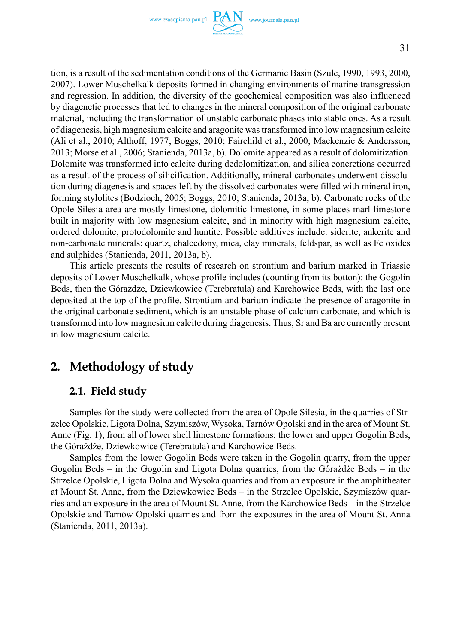www.czasopisma.pan.pl  $PAN$  www.journals.pan.pl

tion, is a result of the sedimentation conditions of the Germanic Basin (Szulc, 1990, 1993, 2000, 2007). Lower Muschelkalk deposits formed in changing environments of marine transgression and regression. In addition, the diversity of the geochemical composition was also influenced by diagenetic processes that led to changes in the mineral composition of the original carbonate material, including the transformation of unstable carbonate phases into stable ones. As a result of diagenesis, high magnesium calcite and aragonite was transformed into low magnesium calcite (Ali et al., 2010; Althoff, 1977; Boggs, 2010; Fairchild et al., 2000; Mackenzie & Andersson, 2013; Morse et al., 2006; Stanienda, 2013a, b). Dolomite appeared as a result of dolomitization. Dolomite was transformed into calcite during dedolomitization, and silica concretions occurred as a result of the process of silicification. Additionally, mineral carbonates underwent dissolution during diagenesis and spaces left by the dissolved carbonates were filled with mineral iron, forming stylolites (Bodzioch, 2005; Boggs, 2010; Stanienda, 2013a, b). Carbonate rocks of the Opole Silesia area are mostly limestone, dolomitic limestone, in some places marl limestone built in majority with low magnesium calcite, and in minority with high magnesium calcite, ordered dolomite, protodolomite and huntite. Possible additives include: siderite, ankerite and non-carbonate minerals: quartz, chalcedony, mica, clay minerals, feldspar, as well as Fe oxides and sulphides (Stanienda, 2011, 2013a, b).

This article presents the results of research on strontium and barium marked in Triassic deposits of Lower Muschelkalk, whose profile includes (counting from its botton): the Gogolin Beds, then the Górażdże, Dziewkowice (Terebratula) and Karchowice Beds, with the last one deposited at the top of the profile. Strontium and barium indicate the presence of aragonite in the original carbonate sediment, which is an unstable phase of calcium carbonate, and which is transformed into low magnesium calcite during diagenesis. Thus, Sr and Ba are currently present in low magnesium calcite.

# **2. Methodology of study**

## **2.1. Field study**

Samples for the study were collected from the area of Opole Silesia, in the quarries of Strzelce Opolskie, Ligota Dolna, Szymiszów, Wysoka, Tarnów Opolski and in the area of Mount St. Anne (Fig. 1), from all of lower shell limestone formations: the lower and upper Gogolin Beds, the Górażdże, Dziewkowice (Terebratula) and Karchowice Beds.

Samples from the lower Gogolin Beds were taken in the Gogolin quarry, from the upper Gogolin Beds – in the Gogolin and Ligota Dolna quarries, from the Górażdże Beds – in the Strzelce Opolskie, Ligota Dolna and Wysoka quarries and from an exposure in the amphitheater at Mount St. Anne, from the Dziewkowice Beds – in the Strzelce Opolskie, Szymiszów quarries and an exposure in the area of Mount St. Anne, from the Karchowice Beds – in the Strzelce Opolskie and Tarnów Opolski quarries and from the exposures in the area of Mount St. Anna (Stanienda, 2011, 2013a).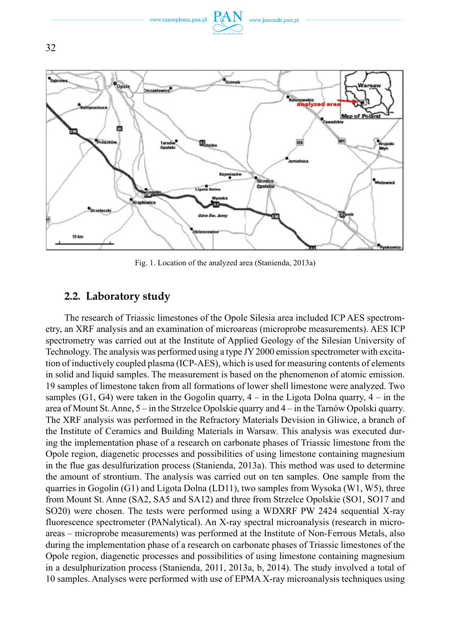

Fig. 1. Location of the analyzed area (Stanienda, 2013a)

## **2.2. Laboratory study**

The research of Triassic limestones of the Opole Silesia area included ICP AES spectrometry, an XRF analysis and an examination of microareas (microprobe measurements). AES ICP spectrometry was carried out at the Institute of Applied Geology of the Silesian University of Technology. The analysis was performed using a type JY 2000 emission spectrometer with excitation of inductively coupled plasma (ICP-AES), which is used for measuring contents of elements in solid and liquid samples. The measurement is based on the phenomenon of atomic emission. 19 samples of limestone taken from all formations of lower shell limestone were analyzed. Two samples  $(G1, G4)$  were taken in the Gogolin quarry,  $4 -$  in the Ligota Dolna quarry,  $4 -$  in the area of Mount St. Anne, 5 – in the Strzelce Opolskie quarry and 4 – in the Tarnów Opolski quarry. The XRF analysis was performed in the Refractory Materials Devision in Gliwice, a branch of the Institute of Ceramics and Building Materials in Warsaw. This analysis was executed during the implementation phase of a research on carbonate phases of Triassic limestone from the Opole region, diagenetic processes and possibilities of using limestone containing magnesium in the flue gas desulfurization process (Stanienda, 2013a). This method was used to determine the amount of strontium. The analysis was carried out on ten samples. One sample from the quarries in Gogolin  $(G1)$  and Ligota Dolna (LD11), two samples from Wysoka (W1, W5), three from Mount St. Anne (SA2, SA5 and SA12) and three from Strzelce Opolskie (SO1, SO17 and SO20) were chosen. The tests were performed using a WDXRF PW 2424 sequential X-ray fluorescence spectrometer (PANalytical). An X-ray spectral microanalysis (research in microareas – microprobe measurements) was performed at the Institute of Non-Ferrous Metals, also during the implementation phase of a research on carbonate phases of Triassic limestones of the Opole region, diagenetic processes and possibilities of using limestone containing magnesium in a desulphurization process (Stanienda, 2011, 2013a, b, 2014). The study involved a total of 10 samples. Analyses were performed with use of EPMA X-ray microanalysis techniques using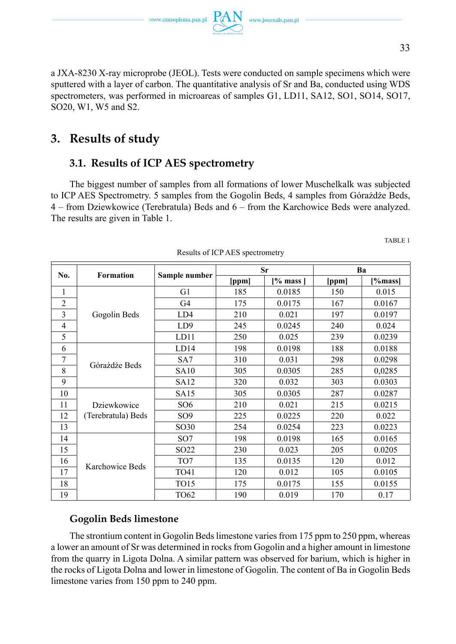a JXA-8230 X-ray microprobe (JEOL). Tests were conducted on sample specimens which were sputtered with a layer of carbon. The quantitative analysis of Sr and Ba, conducted using WDS spectrometers, was performed in microareas of samples G1, LD11, SA12, SO1, SO14, SO17, SO20, W1, W5 and S2.

# **3. Results of study**

# **3.1. Results of ICP AES spectrometry**

The biggest number of samples from all formations of lower Muschelkalk was subjected to ICP AES Spectrometry. 5 samples from the Gogolin Beds, 4 samples from Górażdże Beds, 4 – from Dziewkowice (Terebratula) Beds and 6 – from the Karchowice Beds were analyzed. The results are given in Table 1.

| No.            | <b>Formation</b>   |                  |       | Sr            |       | Ba      |
|----------------|--------------------|------------------|-------|---------------|-------|---------|
|                |                    | Sample number    | [ppm] | $[%$ mass $]$ | [ppm] | [%mass] |
| 1              |                    | G1               | 185   | 0.0185        | 150   | 0.015   |
| $\overline{2}$ |                    | G4               | 175   | 0.0175        | 167   | 0.0167  |
| 3              | Gogolin Beds       | LD4              | 210   | 0.021         | 197   | 0.0197  |
| $\overline{4}$ |                    | LD <sub>9</sub>  | 245   | 0.0245        | 240   | 0.024   |
| 5              |                    | LD11             | 250   | 0.025         | 239   | 0.0239  |
| 6              |                    | LD14             | 198   | 0.0198        | 188   | 0.0188  |
| 7              |                    | SA7              | 310   | 0.031         | 298   | 0.0298  |
| 8              | Górażdże Beds      | <b>SA10</b>      | 305   | 0.0305        | 285   | 0,0285  |
| 9              |                    | SA12             | 320   | 0.032         | 303   | 0.0303  |
| 10             |                    | <b>SA15</b>      | 305   | 0.0305        | 287   | 0.0287  |
| 11             | Dziewkowice        | SO <sub>6</sub>  | 210   | 0.021         | 215   | 0.0215  |
| 12             | (Terebratula) Beds | SO <sub>9</sub>  | 225   | 0.0225        | 220   | 0.022   |
| 13             |                    | SO30             | 254   | 0.0254        | 223   | 0.0223  |
| 14             |                    | SO <sub>7</sub>  | 198   | 0.0198        | 165   | 0.0165  |
| 15             |                    | SO <sub>22</sub> | 230   | 0.023         | 205   | 0.0205  |
| 16             | Karchowice Beds    | TO7              | 135   | 0.0135        | 120   | 0.012   |
| 17             |                    | TO41             | 120   | 0.012         | 105   | 0.0105  |
| 18             |                    | <b>TO15</b>      | 175   | 0.0175        | 155   | 0.0155  |
| 19             |                    | TO62             | 190   | 0.019         | 170   | 0.17    |

Results of ICP AES spectrometry

# **Gogolin Beds limestone**

The strontium content in Gogolin Beds limestone varies from 175 ppm to 250 ppm, whereas a lower an amount of Sr was determined in rocks from Gogolin and a higher amount in limestone from the quarry in Ligota Dolna. A similar pattern was observed for barium, which is higher in the rocks of Ligota Dolna and lower in limestone of Gogolin. The content of Ba in Gogolin Beds limestone varies from 150 ppm to 240 ppm.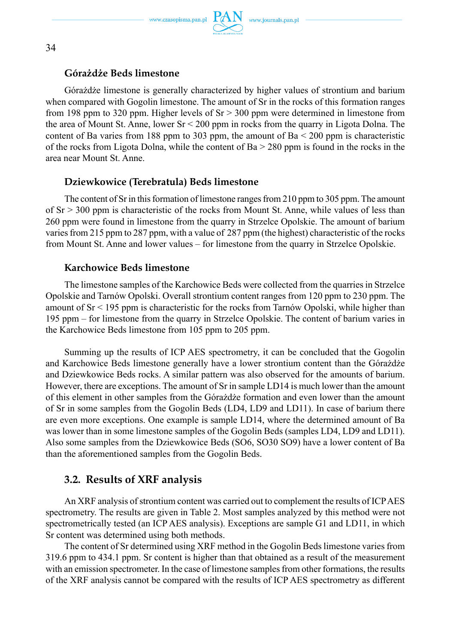

#### **Górażdże Beds limestone**

Górażdże limestone is generally characterized by higher values of strontium and barium when compared with Gogolin limestone. The amount of Sr in the rocks of this formation ranges from 198 ppm to 320 ppm. Higher levels of  $Sr > 300$  ppm were determined in limestone from the area of Mount St. Anne, lower Sr < 200 ppm in rocks from the quarry in Ligota Dolna. The content of Ba varies from 188 ppm to 303 ppm, the amount of Ba  $\leq$  200 ppm is characteristic of the rocks from Ligota Dolna, while the content of Ba > 280 ppm is found in the rocks in the area near Mount St. Anne.

### **Dziewkowice (Terebratula) Beds limestone**

The content of Sr in this formation of limestone ranges from 210 ppm to 305 ppm. The amount of  $Sr > 300$  ppm is characteristic of the rocks from Mount St. Anne, while values of less than 260 ppm were found in limestone from the quarry in Strzelce Opolskie. The amount of barium varies from 215 ppm to 287 ppm, with a value of 287 ppm (the highest) characteristic of the rocks from Mount St. Anne and lower values – for limestone from the quarry in Strzelce Opolskie.

### **Karchowice Beds limestone**

The limestone samples of the Karchowice Beds were collected from the quarries in Strzelce Opolskie and Tarnów Opolski. Overall strontium content ranges from 120 ppm to 230 ppm. The amount of Sr < 195 ppm is characteristic for the rocks from Tarnów Opolski, while higher than 195 ppm – for limestone from the quarry in Strzelce Opolskie. The content of barium varies in the Karchowice Beds limestone from 105 ppm to 205 ppm.

Summing up the results of ICP AES spectrometry, it can be concluded that the Gogolin and Karchowice Beds limestone generally have a lower strontium content than the Górażdże and Dziewkowice Beds rocks. A similar pattern was also observed for the amounts of barium. However, there are exceptions. The amount of Sr in sample LD14 is much lower than the amount of this element in other samples from the Górażdże formation and even lower than the amount of Sr in some samples from the Gogolin Beds (LD4, LD9 and LD11). In case of barium there are even more exceptions. One example is sample LD14, where the determined amount of Ba was lower than in some limestone samples of the Gogolin Beds (samples LD4, LD9 and LD11). Also some samples from the Dziewkowice Beds (SO6, SO30 SO9) have a lower content of Ba than the aforementioned samples from the Gogolin Beds.

# **3.2. Results of XRF analysis**

An XRF analysis of strontium content was carried out to complement the results of ICP AES spectrometry. The results are given in Table 2. Most samples analyzed by this method were not spectrometrically tested (an ICP AES analysis). Exceptions are sample G1 and LD11, in which Sr content was determined using both methods.

The content of Sr determined using XRF method in the Gogolin Beds limestone varies from 319.6 ppm to 434.1 ppm. Sr content is higher than that obtained as a result of the measurement with an emission spectrometer. In the case of limestone samples from other formations, the results of the XRF analysis cannot be compared with the results of ICP AES spectrometry as different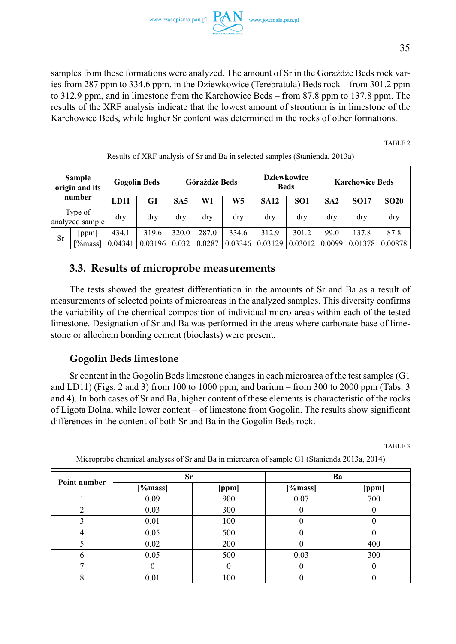samples from these formations were analyzed. The amount of Sr in the Górażdże Beds rock varies from 287 ppm to 334.6 ppm, in the Dziewkowice (Terebratula) Beds rock – from 301.2 ppm to 312.9 ppm, and in limestone from the Karchowice Beds – from 87.8 ppm to 137.8 ppm. The results of the XRF analysis indicate that the lowest amount of strontium is in limestone of the Karchowice Beds, while higher Sr content was determined in the rocks of other formations.

TABLE 2

| Sample<br>origin and its<br>number |                            |         | <b>Gogolin Beds</b> |                 |        | <b>Dziewkowice</b><br>Górażdże Beds<br><b>Beds</b> |             | <b>Karchowice Beds</b> |        |             |             |
|------------------------------------|----------------------------|---------|---------------------|-----------------|--------|----------------------------------------------------|-------------|------------------------|--------|-------------|-------------|
|                                    |                            | LD11    | G1                  | SA <sub>5</sub> | W1     | W <sub>5</sub>                                     | <b>SA12</b> | SO <sub>1</sub>        | SA2    | <b>SO17</b> | <b>SO20</b> |
|                                    | Type of<br>analyzed sample | dry     | dry                 | dry             | dry    | dry                                                | dry         | dry                    | drv    | dry         | dry         |
| Sr                                 | ppm                        | 434.1   | 319.6               | 320.0           | 287.0  | 334.6                                              | 312.9       | 301.2                  | 99.0   | 137.8       | 87.8        |
|                                    | [%mass]]                   | 0.04341 | 0.03196             | 0.032           | 0.0287 | 0.03346                                            | 0.03129     | 0.03012                | 0.0099 | 0.01378     | 0.00878     |

Results of XRF analysis of Sr and Ba in selected samples (Stanienda, 2013a)

# **3.3. Results of microprobe measurements**

The tests showed the greatest differentiation in the amounts of Sr and Ba as a result of measurements of selected points of microareas in the analyzed samples. This diversity confirms the variability of the chemical composition of individual micro-areas within each of the tested limestone. Designation of Sr and Ba was performed in the areas where carbonate base of limestone or allochem bonding cement (bioclasts) were present.

## **Gogolin Beds limestone**

Sr content in the Gogolin Beds limestone changes in each microarea of the test samples (G1 and LD11) (Figs. 2 and 3) from 100 to 1000 ppm, and barium – from 300 to 2000 ppm (Tabs. 3 and 4). In both cases of Sr and Ba, higher content of these elements is characteristic of the rocks of Ligota Dolna, while lower content – of limestone from Gogolin. The results show significant differences in the content of both Sr and Ba in the Gogolin Beds rock.

TABLE 3

| Point number | Sr      |       | Ba      |       |  |
|--------------|---------|-------|---------|-------|--|
|              | [%mass] | [ppm] | [%mass] | [ppm] |  |
|              | 0.09    | 900   | 0.07    | 700   |  |
| ↑            | 0.03    | 300   | U       |       |  |
|              | 0.01    | 100   |         |       |  |
|              | 0.05    | 500   |         |       |  |
|              | 0.02    | 200   | 0       | 400   |  |
| n            | 0.05    | 500   | 0.03    | 300   |  |
|              |         |       | O       |       |  |
|              | 0.01    | 100   |         |       |  |

Microprobe chemical analyses of Sr and Ba in microarea of sample G1 (Stanienda 2013a, 2014)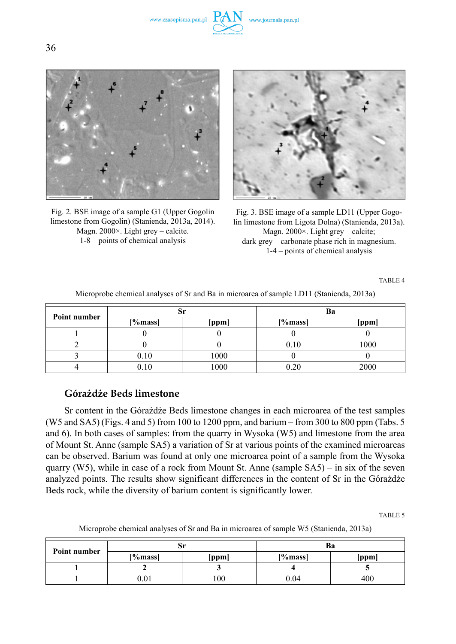www.czasopisma.pan.pl



Fig. 2. BSE image of a sample G1 (Upper Gogolin limestone from Gogolin) (Stanienda, 2013a, 2014). Magn. 2000×. Light grey – calcite. 1-8 – points of chemical analysis



Fig. 3. BSE image of a sample LD11 (Upper Gogolin limestone from Ligota Dolna) (Stanienda, 2013a). Magn. 2000×. Light grey – calcite; dark grey – carbonate phase rich in magnesium. 1-4 – points of chemical analysis

TABLE 4

| Point number | м       |       | Ba      |       |
|--------------|---------|-------|---------|-------|
|              | [%mass] | [ppm] | [%mass] | [ppm] |
|              |         |       |         |       |
|              |         |       | 0.10    | 1000  |
|              | 0.10    | 1000  |         |       |
|              | 0.10    | 1000  |         | 2000  |

Microprobe chemical analyses of Sr and Ba in microarea of sample LD11 (Stanienda, 2013a)

## **Górażdże Beds limestone**

Sr content in the Górażdże Beds limestone changes in each microarea of the test samples (W5 and SA5) (Figs. 4 and 5) from 100 to 1200 ppm, and barium – from 300 to 800 ppm (Tabs. 5 and 6). In both cases of samples: from the quarry in Wysoka (W5) and limestone from the area of Mount St. Anne (sample SA5) a variation of Sr at various points of the examined microareas can be observed. Barium was found at only one microarea point of a sample from the Wysoka quarry (W5), while in case of a rock from Mount St. Anne (sample SA5) – in six of the seven analyzed points. The results show significant differences in the content of Sr in the Górażdże Beds rock, while the diversity of barium content is significantly lower.

TABLE 5

Microprobe chemical analyses of Sr and Ba in microarea of sample W5 (Stanienda, 2013a)

| Point number |           | Sr            | Ba      |       |
|--------------|-----------|---------------|---------|-------|
|              | [%mass]   | [ppm]         | [%mass] | [ppm] |
|              |           |               |         |       |
|              | $_{0.01}$ | $100^{\circ}$ | 0.04    | 400   |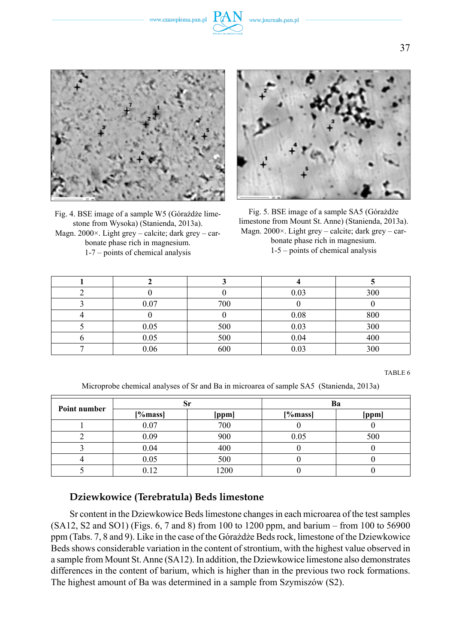www.czasopisma.pan.pl



Fig. 4. BSE image of a sample W5 (Górażdże limestone from Wysoka) (Stanienda, 2013a). Magn. 2000×. Light grey – calcite; dark grey – carbonate phase rich in magnesium. 1-7 – points of chemical analysis



Fig. 5. BSE image of a sample SA5 (Górażdże limestone from Mount St. Anne) (Stanienda, 2013a). Magn. 2000×. Light grey – calcite; dark grey – carbonate phase rich in magnesium. 1-5 – points of chemical analysis

|      |     | 0.03 | 300 |
|------|-----|------|-----|
| 0.07 | 700 |      |     |
|      |     | 0.08 | 800 |
| 0.05 | 500 | 0.03 | 300 |
| 0.05 | 500 | 0.04 | 400 |
| 0.06 | 600 | 0.03 | 300 |

TABLE 6

Microprobe chemical analyses of Sr and Ba in microarea of sample SA5 (Stanienda, 2013a)

|              |         | Sr    | Ba      |       |  |  |  |
|--------------|---------|-------|---------|-------|--|--|--|
| Point number | [%mass] | [ppm] | [%mass] | [ppm] |  |  |  |
|              | 0.07    | 700   |         |       |  |  |  |
|              | 0.09    | 900   | 0.05    | 500   |  |  |  |
|              | 0.04    | 400   |         |       |  |  |  |
|              | 0.05    | 500   |         |       |  |  |  |
|              | 0.12    | 1200  |         |       |  |  |  |

#### **Dziewkowice (Terebratula) Beds limestone**

Sr content in the Dziewkowice Beds limestone changes in each microarea of the test samples (SA12, S2 and SO1) (Figs. 6, 7 and 8) from 100 to 1200 ppm, and barium – from 100 to 56900 ppm (Tabs. 7, 8 and 9). Like in the case of the Górażdże Beds rock, limestone of the Dziewkowice Beds shows considerable variation in the content of strontium, with the highest value observed in a sample from Mount St. Anne (SA12). In addition, the Dziewkowice limestone also demonstrates differences in the content of barium, which is higher than in the previous two rock formations. The highest amount of Ba was determined in a sample from Szymiszów (S2).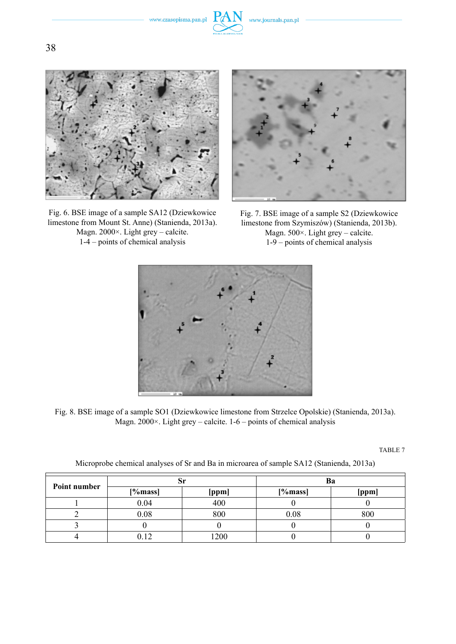



Fig. 6. BSE image of a sample SA12 (Dziewkowice limestone from Mount St. Anne) (Stanienda, 2013a). Magn. 2000×. Light grey – calcite. 1-4 – points of chemical analysis



Fig. 7. BSE image of a sample S2 (Dziewkowice limestone from Szymiszów) (Stanienda, 2013b). Magn. 500×. Light grey – calcite. 1-9 – points of chemical analysis



Fig. 8. BSE image of a sample SO1 (Dziewkowice limestone from Strzelce Opolskie) (Stanienda, 2013a). Magn.  $2000 \times$ . Light grey – calcite. 1-6 – points of chemical analysis

|              | ЮI      |       | Ba      |       |
|--------------|---------|-------|---------|-------|
| Point number | [%mass] | [ppm] | [%mass] | [ppm] |
|              | 0.04    | 400   |         |       |
|              | 0.08    | 800   | 0.08    | 800   |
|              |         |       |         |       |
|              |         | 1200  |         |       |

Microprobe chemical analyses of Sr and Ba in microarea of sample SA12 (Stanienda, 2013a)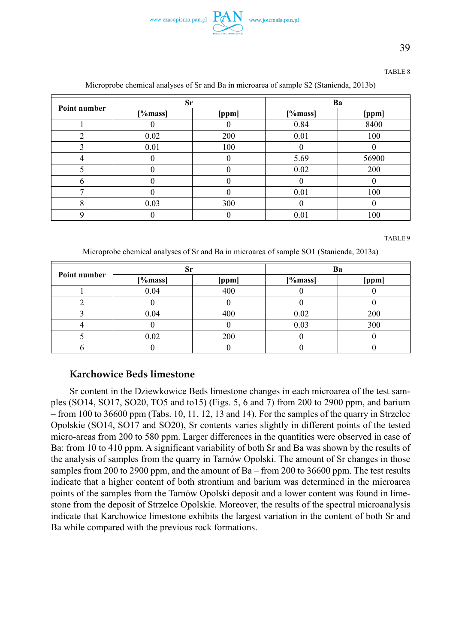

39

#### TABLE 8

| Point number   | Sr      |       | Ba       |       |  |
|----------------|---------|-------|----------|-------|--|
|                | [%mass] | [ppm] | [%mass]  | [ppm] |  |
|                |         |       | 0.84     | 8400  |  |
| $\mathfrak{D}$ | 0.02    | 200   | 0.01     | 100   |  |
|                | 0.01    | 100   |          |       |  |
|                |         |       | 5.69     | 56900 |  |
|                |         |       | 0.02     | 200   |  |
| 6              |         |       |          |       |  |
| ┑              |         |       | 0.01     | 100   |  |
| 8              | 0.03    | 300   | $\theta$ |       |  |
| О              |         |       | 0.01     | 100   |  |

#### Microprobe chemical analyses of Sr and Ba in microarea of sample S2 (Stanienda, 2013b)

TABLE 9

Microprobe chemical analyses of Sr and Ba in microarea of sample SO1 (Stanienda, 2013a)

| Point number |         |       | Ba      |       |
|--------------|---------|-------|---------|-------|
|              | [%mass] | [ppm] | [%mass] | [ppm] |
|              | 0.04    | 400   |         |       |
|              |         |       |         |       |
|              | 0.04    | 400   | 0.02    | 200   |
|              |         |       | 0.03    | 300   |
|              | 0.02    | 200   |         |       |
|              |         |       |         |       |

#### **Karchowice Beds limestone**

Sr content in the Dziewkowice Beds limestone changes in each microarea of the test samples (SO14, SO17, SO20, TO5 and to15) (Figs. 5, 6 and 7) from 200 to 2900 ppm, and barium – from 100 to 36600 ppm (Tabs. 10, 11, 12, 13 and 14). For the samples of the quarry in Strzelce Opolskie (SO14, SO17 and SO20), Sr contents varies slightly in different points of the tested micro-areas from 200 to 580 ppm. Larger differences in the quantities were observed in case of Ba: from 10 to 410 ppm. A significant variability of both Sr and Ba was shown by the results of the analysis of samples from the quarry in Tarnów Opolski. The amount of Sr changes in those samples from 200 to 2900 ppm, and the amount of Ba – from 200 to 36600 ppm. The test results indicate that a higher content of both strontium and barium was determined in the microarea points of the samples from the Tarnów Opolski deposit and a lower content was found in limestone from the deposit of Strzelce Opolskie. Moreover, the results of the spectral microanalysis indicate that Karchowice limestone exhibits the largest variation in the content of both Sr and Ba while compared with the previous rock formations.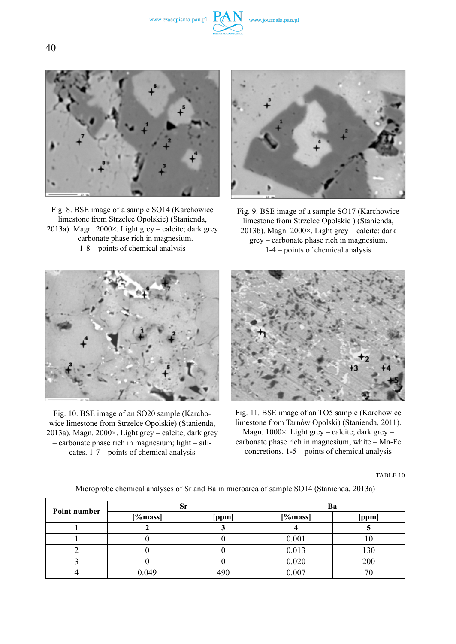



Fig. 8. BSE image of a sample SO14 (Karchowice limestone from Strzelce Opolskie) (Stanienda, 2013a). Magn. 2000×. Light grey – calcite; dark grey – carbonate phase rich in magnesium. 1-8 – points of chemical analysis



Fig. 9. BSE image of a sample SO17 (Karchowice limestone from Strzelce Opolskie ) (Stanienda, 2013b). Magn. 2000×. Light grey – calcite; dark grey – carbonate phase rich in magnesium. 1-4 – points of chemical analysis



Fig. 10. BSE image of an SO20 sample (Karchowice limestone from Strzelce Opolskie) (Stanienda, 2013a). Magn. 2000×. Light grey – calcite; dark grey – carbonate phase rich in magnesium; light – silicates. 1-7 – points of chemical analysis



Fig. 11. BSE image of an TO5 sample (Karchowice limestone from Tarnów Opolski) (Stanienda, 2011). Magn. 1000×. Light grey – calcite; dark grey – carbonate phase rich in magnesium; white – Mn-Fe concretions. 1**-**5 – points of chemical analysis

Microprobe chemical analyses of Sr and Ba in microarea of sample SO14 (Stanienda, 2013a)

| Point number | ЮI      |       | Ba      |       |
|--------------|---------|-------|---------|-------|
|              | [%mass] | [ppm] | [%mass] | [ppm] |
|              |         |       |         |       |
|              |         |       | 0.001   |       |
|              |         |       | 0.013   | 130   |
|              |         |       | 0.020   | 200   |
|              | 0.049   | 490   | 0.007   |       |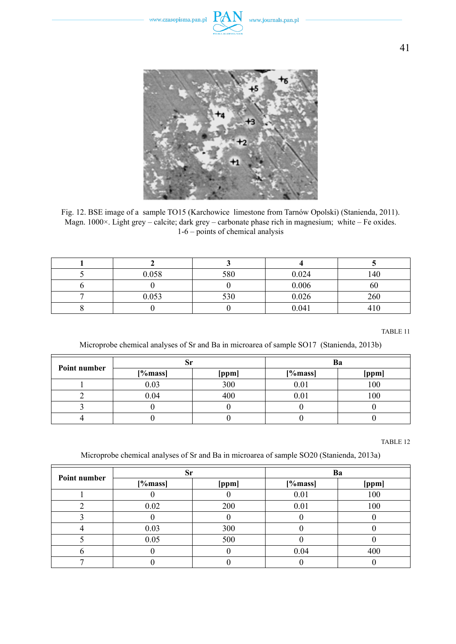



Fig. 12. BSE image of a sample TO15 (Karchowice limestone from Tarnów Opolski) (Stanienda, 2011). Magn. 1000×. Light grey – calcite; dark grey – carbonate phase rich in magnesium; white – Fe oxides. 1-6 – points of chemical analysis

| 0.058 | 580 | 0.024 | 140             |
|-------|-----|-------|-----------------|
|       |     | 0.006 | 60              |
| 0.053 | 530 | 0.026 | 260             |
|       |     | 0.041 | 41 <sup>c</sup> |

TABLE 11

Microprobe chemical analyses of Sr and Ba in microarea of sample SO17 (Stanienda, 2013b)

| Point number | ЮI      |       |         |       |
|--------------|---------|-------|---------|-------|
|              | [%mass] | [ppm] | [%mass] | [ppm] |
|              | 0.03    | 300   | 0.01    | 100   |
|              | 0.04    | 400   | 0.01    | 00    |
|              |         |       |         |       |
|              |         |       |         |       |

TABLE 12

Microprobe chemical analyses of Sr and Ba in microarea of sample SO20 (Stanienda, 2013a)

| Point number | Sr      |       | Ba      |       |
|--------------|---------|-------|---------|-------|
|              | [%mass] | [ppm] | [%mass] | [ppm] |
|              |         |       | 0.01    | 100   |
|              | 0.02    | 200   | 0.01    | 100   |
|              |         |       |         |       |
|              | 0.03    | 300   |         |       |
|              | 0.05    | 500   |         |       |
|              |         |       | 0.04    | 400   |
|              |         |       |         |       |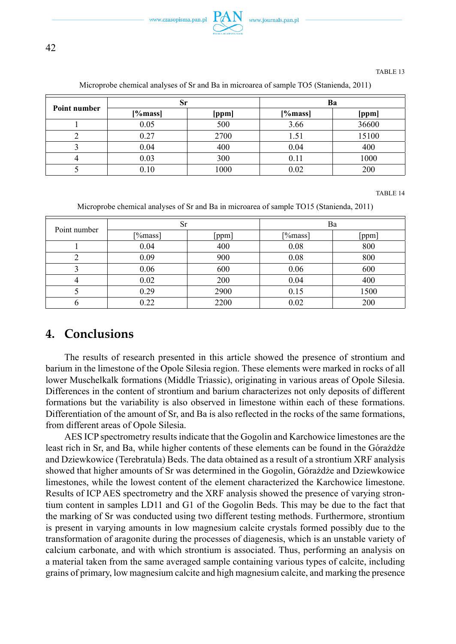

| Point number | Sr      |       | Ba      |       |
|--------------|---------|-------|---------|-------|
|              | [%mass] | [ppm] | [%mass] | [ppm] |
|              | 0.05    | 500   | 3.66    | 36600 |
|              | 0.27    | 2700  | 1.51    | 15100 |
|              | 0.04    | 400   | 0.04    | 400   |
|              | 0.03    | 300   | 0.11    | 1000  |
|              | 0.10    | 1000  | 0.02    | 200   |

Microprobe chemical analyses of Sr and Ba in microarea of sample TO5 (Stanienda, 2011)

TABLE 14

Microprobe chemical analyses of Sr and Ba in microarea of sample TO15 (Stanienda, 2011)

| Point number | Sr      |       | Ba      |       |
|--------------|---------|-------|---------|-------|
|              | [%mass] | [ppm] | [%mass] | [ppm] |
|              | 0.04    | 400   | 0.08    | 800   |
|              | 0.09    | 900   | 0.08    | 800   |
|              | 0.06    | 600   | 0.06    | 600   |
| 4            | 0.02    | 200   | 0.04    | 400   |
|              | 0.29    | 2900  | 0.15    | 1500  |
| 6            | 0.22    | 2200  | 0.02    | 200   |

# **4. Conclusions**

The results of research presented in this article showed the presence of strontium and barium in the limestone of the Opole Silesia region. These elements were marked in rocks of all lower Muschelkalk formations (Middle Triassic), originating in various areas of Opole Silesia. Differences in the content of strontium and barium characterizes not only deposits of different formations but the variability is also observed in limestone within each of these formations. Differentiation of the amount of Sr, and Ba is also reflected in the rocks of the same formations, from different areas of Opole Silesia.

AES ICP spectrometry results indicate that the Gogolin and Karchowice limestones are the least rich in Sr, and Ba, while higher contents of these elements can be found in the Górażdże and Dziewkowice (Terebratula) Beds. The data obtained as a result of a strontium XRF analysis showed that higher amounts of Sr was determined in the Gogolin, Górażdże and Dziewkowice limestones, while the lowest content of the element characterized the Karchowice limestone. Results of ICP AES spectrometry and the XRF analysis showed the presence of varying strontium content in samples LD11 and G1 of the Gogolin Beds. This may be due to the fact that the marking of Sr was conducted using two different testing methods. Furthermore, strontium is present in varying amounts in low magnesium calcite crystals formed possibly due to the transformation of aragonite during the processes of diagenesis, which is an unstable variety of calcium carbonate, and with which strontium is associated. Thus, performing an analysis on a material taken from the same averaged sample containing various types of calcite, including grains of primary, low magnesium calcite and high magnesium calcite, and marking the presence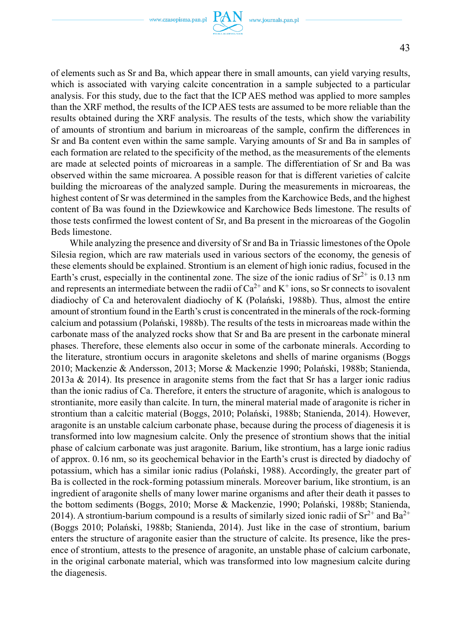

of elements such as Sr and Ba, which appear there in small amounts, can yield varying results, which is associated with varying calcite concentration in a sample subjected to a particular analysis. For this study, due to the fact that the ICP AES method was applied to more samples than the XRF method, the results of the ICP AES tests are assumed to be more reliable than the results obtained during the XRF analysis. The results of the tests, which show the variability of amounts of strontium and barium in microareas of the sample, confirm the differences in Sr and Ba content even within the same sample. Varying amounts of Sr and Ba in samples of each formation are related to the specificity of the method, as the measurements of the elements are made at selected points of microareas in a sample. The differentiation of Sr and Ba was observed within the same microarea. A possible reason for that is different varieties of calcite building the microareas of the analyzed sample. During the measurements in microareas, the highest content of Sr was determined in the samples from the Karchowice Beds, and the highest content of Ba was found in the Dziewkowice and Karchowice Beds limestone. The results of those tests confirmed the lowest content of Sr, and Ba present in the microareas of the Gogolin Beds limestone.

While analyzing the presence and diversity of Sr and Ba in Triassic limestones of the Opole Silesia region, which are raw materials used in various sectors of the economy, the genesis of these elements should be explained. Strontium is an element of high ionic radius, focused in the Earth's crust, especially in the continental zone. The size of the ionic radius of  $Sr^{2+}$  is 0.13 nm and represents an intermediate between the radii of  $Ca^{2+}$  and  $K^+$  ions, so Sr connects to isovalent diadiochy of Ca and heterovalent diadiochy of K (Polański, 1988b). Thus, almost the entire amount of strontium found in the Earth's crust is concentrated in the minerals of the rock-forming calcium and potassium (Polański, 1988b). The results of the tests in microareas made within the carbonate mass of the analyzed rocks show that Sr and Ba are present in the carbonate mineral phases. Therefore, these elements also occur in some of the carbonate minerals. According to the literature, strontium occurs in aragonite skeletons and shells of marine organisms (Boggs 2010; Mackenzie & Andersson, 2013; Morse & Mackenzie 1990; Polański, 1988b; Stanienda, 2013a  $\&$  2014). Its presence in aragonite stems from the fact that Sr has a larger ionic radius than the ionic radius of Ca. Therefore, it enters the structure of aragonite, which is analogous to strontianite, more easily than calcite. In turn, the mineral material made of aragonite is richer in strontium than a calcitic material (Boggs, 2010; Polański, 1988b; Stanienda, 2014). However, aragonite is an unstable calcium carbonate phase, because during the process of diagenesis it is transformed into low magnesium calcite. Only the presence of strontium shows that the initial phase of calcium carbonate was just aragonite. Barium, like strontium, has a large ionic radius of approx. 0.16 nm, so its geochemical behavior in the Earth's crust is directed by diadochy of potassium, which has a similar ionic radius (Polański, 1988). Accordingly, the greater part of Ba is collected in the rock-forming potassium minerals. Moreover barium, like strontium, is an ingredient of aragonite shells of many lower marine organisms and after their death it passes to the bottom sediments (Boggs, 2010; Morse & Mackenzie, 1990; Polański, 1988b; Stanienda, 2014). A strontium-barium compound is a results of similarly sized ionic radii of  $Sr^{2+}$  and  $Ba^{2+}$ (Boggs 2010; Polański, 1988b; Stanienda, 2014). Just like in the case of strontium, barium enters the structure of aragonite easier than the structure of calcite. Its presence, like the presence of strontium, attests to the presence of aragonite, an unstable phase of calcium carbonate, in the original carbonate material, which was transformed into low magnesium calcite during the diagenesis.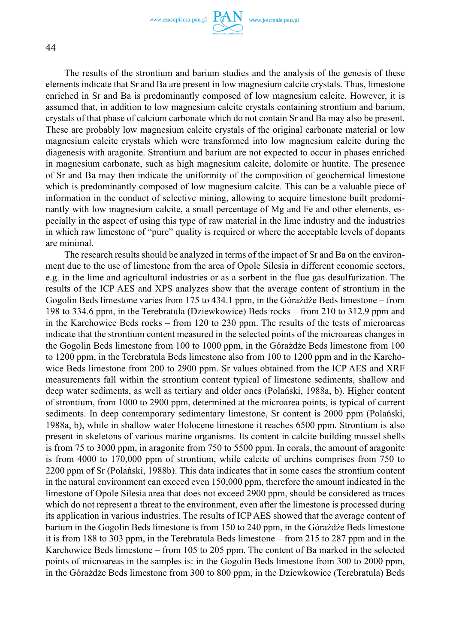

The results of the strontium and barium studies and the analysis of the genesis of these elements indicate that Sr and Ba are present in low magnesium calcite crystals. Thus, limestone enriched in Sr and Ba is predominantly composed of low magnesium calcite. However, it is assumed that, in addition to low magnesium calcite crystals containing strontium and barium, crystals of that phase of calcium carbonate which do not contain Sr and Ba may also be present. These are probably low magnesium calcite crystals of the original carbonate material or low magnesium calcite crystals which were transformed into low magnesium calcite during the diagenesis with aragonite. Strontium and barium are not expected to occur in phases enriched

in magnesium carbonate, such as high magnesium calcite, dolomite or huntite. The presence of Sr and Ba may then indicate the uniformity of the composition of geochemical limestone which is predominantly composed of low magnesium calcite. This can be a valuable piece of information in the conduct of selective mining, allowing to acquire limestone built predominantly with low magnesium calcite, a small percentage of Mg and Fe and other elements, especially in the aspect of using this type of raw material in the lime industry and the industries in which raw limestone of "pure" quality is required or where the acceptable levels of dopants are minimal.

The research results should be analyzed in terms of the impact of Sr and Ba on the environment due to the use of limestone from the area of Opole Silesia in different economic sectors, e.g. in the lime and agricultural industries or as a sorbent in the flue gas desulfurization. The results of the ICP AES and XPS analyzes show that the average content of strontium in the Gogolin Beds limestone varies from 175 to 434.1 ppm, in the Górażdże Beds limestone – from 198 to 334.6 ppm, in the Terebratula (Dziewkowice) Beds rocks – from 210 to 312.9 ppm and in the Karchowice Beds rocks – from 120 to 230 ppm. The results of the tests of microareas indicate that the strontium content measured in the selected points of the microareas changes in the Gogolin Beds limestone from 100 to 1000 ppm, in the Górażdże Beds limestone from 100 to 1200 ppm, in the Terebratula Beds limestone also from 100 to 1200 ppm and in the Karchowice Beds limestone from 200 to 2900 ppm. Sr values obtained from the ICP AES and XRF measurements fall within the strontium content typical of limestone sediments, shallow and deep water sediments, as well as tertiary and older ones (Polański, 1988a, b). Higher content of strontium, from 1000 to 2900 ppm, determined at the microarea points, is typical of current sediments. In deep contemporary sedimentary limestone, Sr content is 2000 ppm (Polański, 1988a, b), while in shallow water Holocene limestone it reaches 6500 ppm. Strontium is also present in skeletons of various marine organisms. Its content in calcite building mussel shells is from 75 to 3000 ppm, in aragonite from 750 to 5500 ppm. In corals, the amount of aragonite is from 4000 to 170,000 ppm of strontium, while calcite of urchins comprises from 750 to 2200 ppm of Sr (Polański, 1988b). This data indicates that in some cases the strontium content in the natural environment can exceed even 150,000 ppm, therefore the amount indicated in the limestone of Opole Silesia area that does not exceed 2900 ppm, should be considered as traces which do not represent a threat to the environment, even after the limestone is processed during its application in various industries. The results of ICP AES showed that the average content of barium in the Gogolin Beds limestone is from 150 to 240 ppm, in the Górażdże Beds limestone it is from 188 to 303 ppm, in the Terebratula Beds limestone – from 215 to 287 ppm and in the Karchowice Beds limestone – from 105 to 205 ppm. The content of Ba marked in the selected points of microareas in the samples is: in the Gogolin Beds limestone from 300 to 2000 ppm, in the Górażdże Beds limestone from 300 to 800 ppm, in the Dziewkowice (Terebratula) Beds

44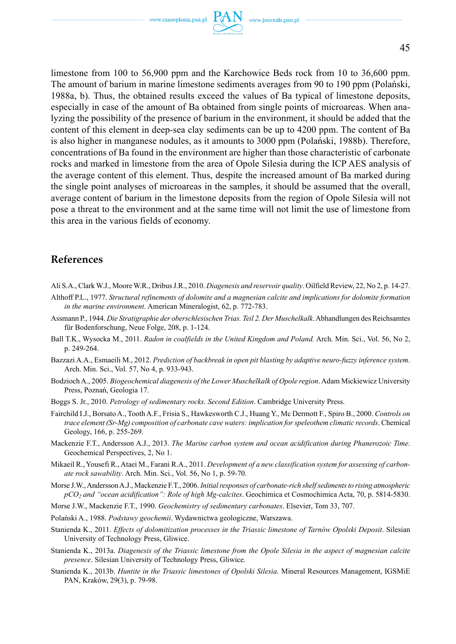www.czasopisma.pan.pl

limestone from 100 to 56,900 ppm and the Karchowice Beds rock from 10 to 36,600 ppm. The amount of barium in marine limestone sediments averages from 90 to 190 ppm (Polański, 1988a, b). Thus, the obtained results exceed the values of Ba typical of limestone deposits, especially in case of the amount of Ba obtained from single points of microareas. When analyzing the possibility of the presence of barium in the environment, it should be added that the content of this element in deep-sea clay sediments can be up to 4200 ppm. The content of Ba is also higher in manganese nodules, as it amounts to 3000 ppm (Polański, 1988b). Therefore, concentrations of Ba found in the environment are higher than those characteristic of carbonate rocks and marked in limestone from the area of Opole Silesia during the ICP AES analysis of the average content of this element. Thus, despite the increased amount of Ba marked during the single point analyses of microareas in the samples, it should be assumed that the overall, average content of barium in the limestone deposits from the region of Opole Silesia will not pose a threat to the environment and at the same time will not limit the use of limestone from this area in the various fields of economy.

### **References**

- Ali S.A., Clark W.J., Moore W.R., Dribus J.R., 2010. *Diagenesis and reservoir quality*. Oilfield Review, 22, No 2, p. 14-27.
- Althoff P.L., 1977. *Structural refinements of dolomite and a magnesian calcite and implications for dolomite formation in the marine environment*. American Mineralogist, 62, p. 772-783.
- Assmann P., 1944. *Die Stratigraphie der oberschlesischen Trias. Teil 2. Der Muschelkalk*. Abhandlungen des Reichsamtes für Bodenforschung, Neue Folge, 208, p. 1-124.
- Ball T.K., Wysocka M., 2011. *Radon in coalfields in the United Kingdom and Poland.* Arch. Min. Sci., Vol. 56, No 2, p. 249-264.
- Bazzazi A.A., Esmaeili M., 2012. *Prediction of backbreak in open pit blasting by adaptive neuro-fuzzy inference system*. Arch. Min. Sci., Vol. 57, No 4, p. 933-943.
- Bodzioch A., 2005. *Biogeochemical diagenesis of the Lower Muschelkalk of Opole region*. Adam Mickiewicz University Press, Poznań, Geologia 17.
- Boggs S. Jr., 2010. *Petrology of sedimentary rocks. Second Edition*. Cambridge University Press.
- Fairchild I.J., Borsato A., Tooth A.F., Frisia S., Hawkesworth C.J., Huang Y., Mc Dermott F., Spiro B., 2000. *Controls on trace element (Sr-Mg) composition of carbonate cave waters: implication for speleothem climatic records*. Chemical Geology, 166, p. 255-269.
- Mackenzie F.T., Andersson A.J., 2013. *The Marine carbon system and ocean acidification during Phanerozoic Time*. Geochemical Perspectives, 2, No 1.
- Mikaeil R., Yousefi R., Ataei M., Farani R.A., 2011. *Development of a new classification system for assessing of carbonate rock sawability*. Arch. Min. Sci., Vol. 56, No 1, p. 59-70.
- Morse J.W., Andersson A.J., Mackenzie F.T., 2006. *Initial responses of carbonate-rich shelf sediments to rising atmospheric pCO2 and ''ocean acidification'': Role of high Mg-calcites*. Geochimica et Cosmochimica Acta, 70, p. 5814-5830.
- Morse J.W., Mackenzie F.T., 1990. *Geochemistry of sedimentary carbonates*. Elsevier, Tom 33, 707.
- Polański A., 1988. *Podstawy geochemii*. Wydawnictwa geologiczne, Warszawa.
- Stanienda K., 2011. *Effects of dolomitization processes in the Triassic limestone of Tarnów Opolski Deposit*. Silesian University of Technology Press, Gliwice.
- Stanienda K., 2013a. *Diagenesis of the Triassic limestone from the Opole Silesia in the aspect of magnesian calcite presence*. Silesian University of Technology Press, Gliwice.
- Stanienda K., 2013b. *Huntite in the Triassic limestones of Opolski Silesia*. Mineral Resources Management, IGSMiE PAN, Kraków, 29(3), p. 79-98.